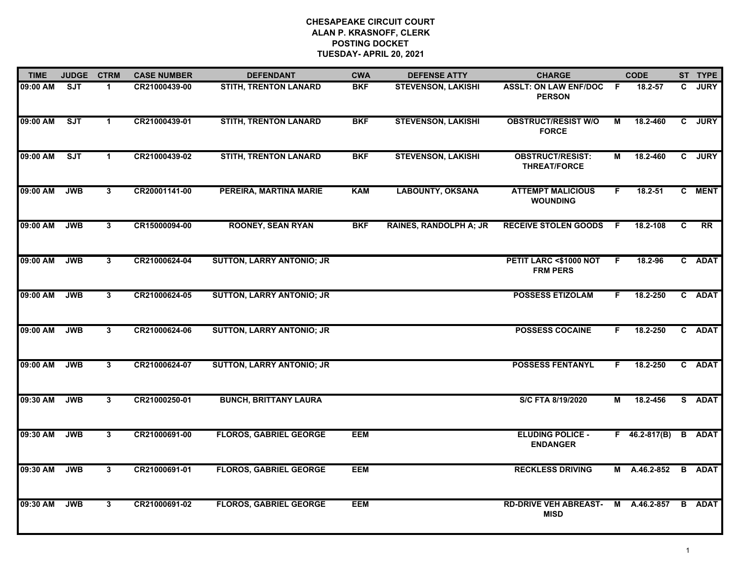| <b>TIME</b> | <b>JUDGE</b> | <b>CTRM</b>             | <b>CASE NUMBER</b> | <b>DEFENDANT</b>                 | <b>CWA</b> | <b>DEFENSE ATTY</b>           | <b>CHARGE</b>                                  |     | <b>CODE</b>         |    | ST TYPE       |
|-------------|--------------|-------------------------|--------------------|----------------------------------|------------|-------------------------------|------------------------------------------------|-----|---------------------|----|---------------|
| 09:00 AM    | SJT          | 1.                      | CR21000439-00      | <b>STITH, TRENTON LANARD</b>     | <b>BKF</b> | <b>STEVENSON, LAKISHI</b>     | <b>ASSLT: ON LAW ENF/DOC</b><br><b>PERSON</b>  | -F  | 18.2-57             | C. | <b>JURY</b>   |
| 09:00 AM    | ST           | $\mathbf 1$             | CR21000439-01      | <b>STITH, TRENTON LANARD</b>     | <b>BKF</b> | <b>STEVENSON, LAKISHI</b>     | <b>OBSTRUCT/RESIST W/O</b><br><b>FORCE</b>     | М   | 18.2-460            |    | C JURY        |
| 09:00 AM    | SJT          | $\mathbf 1$             | CR21000439-02      | <b>STITH, TRENTON LANARD</b>     | <b>BKF</b> | <b>STEVENSON, LAKISHI</b>     | <b>OBSTRUCT/RESIST:</b><br><b>THREAT/FORCE</b> | М   | 18.2-460            |    | C JURY        |
| 09:00 AM    | <b>JWB</b>   | 3                       | CR20001141-00      | PEREIRA, MARTINA MARIE           | <b>KAM</b> | <b>LABOUNTY, OKSANA</b>       | <b>ATTEMPT MALICIOUS</b><br><b>WOUNDING</b>    | F.  | 18.2-51             |    | C MENT        |
| 09:00 AM    | <b>JWB</b>   | $\mathbf{3}$            | CR15000094-00      | <b>ROONEY, SEAN RYAN</b>         | <b>BKF</b> | <b>RAINES, RANDOLPH A; JR</b> | <b>RECEIVE STOLEN GOODS</b>                    | - F | 18.2-108            | C  | RR            |
| 09:00 AM    | <b>JWB</b>   | $\overline{\mathbf{3}}$ | CR21000624-04      | <b>SUTTON, LARRY ANTONIO; JR</b> |            |                               | PETIT LARC <\$1000 NOT<br><b>FRM PERS</b>      | F.  | 18.2-96             |    | C ADAT        |
| 09:00 AM    | <b>JWB</b>   | $\overline{3}$          | CR21000624-05      | <b>SUTTON, LARRY ANTONIO; JR</b> |            |                               | <b>POSSESS ETIZOLAM</b>                        | F.  | 18.2-250            |    | C ADAT        |
| 09:00 AM    | <b>JWB</b>   | 3                       | CR21000624-06      | <b>SUTTON, LARRY ANTONIO; JR</b> |            |                               | <b>POSSESS COCAINE</b>                         | F.  | 18.2-250            |    | C ADAT        |
| 09:00 AM    | <b>JWB</b>   | 3                       | CR21000624-07      | <b>SUTTON, LARRY ANTONIO; JR</b> |            |                               | <b>POSSESS FENTANYL</b>                        | F.  | 18.2-250            |    | C ADAT        |
| 09:30 AM    | <b>JWB</b>   | 3                       | CR21000250-01      | <b>BUNCH, BRITTANY LAURA</b>     |            |                               | S/C FTA 8/19/2020                              | M   | 18.2-456            |    | S ADAT        |
| 09:30 AM    | <b>JWB</b>   | $\mathbf{3}$            | CR21000691-00      | <b>FLOROS, GABRIEL GEORGE</b>    | <b>EEM</b> |                               | <b>ELUDING POLICE -</b><br><b>ENDANGER</b>     |     | $F$ 46.2-817(B)     |    | <b>B</b> ADAT |
| 09:30 AM    | <b>JWB</b>   | $\overline{3}$          | CR21000691-01      | <b>FLOROS, GABRIEL GEORGE</b>    | <b>EEM</b> |                               | <b>RECKLESS DRIVING</b>                        |     | M A.46.2-852 B ADAT |    |               |
| 09:30 AM    | <b>JWB</b>   | 3                       | CR21000691-02      | <b>FLOROS, GABRIEL GEORGE</b>    | <b>EEM</b> |                               | <b>RD-DRIVE VEH ABREAST-</b><br><b>MISD</b>    |     | M A.46.2-857        |    | <b>B</b> ADAT |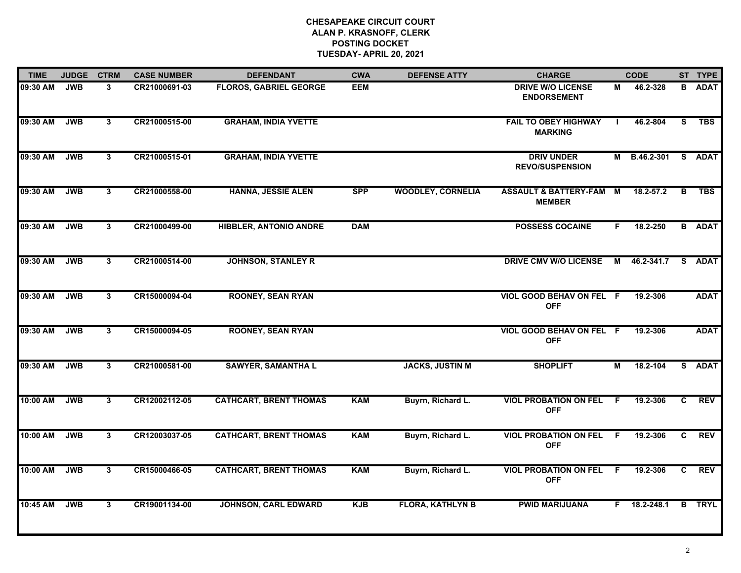| <b>TIME</b> | <b>JUDGE</b> | <b>CTRM</b>    | <b>CASE NUMBER</b> | <b>DEFENDANT</b>              | <b>CWA</b> | <b>DEFENSE ATTY</b>      | <b>CHARGE</b>                                       |                | <b>CODE</b>         |    | ST TYPE       |
|-------------|--------------|----------------|--------------------|-------------------------------|------------|--------------------------|-----------------------------------------------------|----------------|---------------------|----|---------------|
| 09:30 AM    | <b>JWB</b>   | 3              | CR21000691-03      | <b>FLOROS, GABRIEL GEORGE</b> | EEM        |                          | <b>DRIVE W/O LICENSE</b><br><b>ENDORSEMENT</b>      | М              | 46.2-328            |    | <b>B</b> ADAT |
| 09:30 AM    | <b>JWB</b>   | $\mathbf{3}$   | CR21000515-00      | <b>GRAHAM, INDIA YVETTE</b>   |            |                          | <b>FAIL TO OBEY HIGHWAY</b><br><b>MARKING</b>       | $\blacksquare$ | 46.2-804            | S  | <b>TBS</b>    |
| 09:30 AM    | <b>JWB</b>   | $\overline{3}$ | CR21000515-01      | <b>GRAHAM, INDIA YVETTE</b>   |            |                          | <b>DRIV UNDER</b><br><b>REVO/SUSPENSION</b>         |                | M B.46.2-301 S ADAT |    |               |
| 09:30 AM    | <b>JWB</b>   | 3              | CR21000558-00      | <b>HANNA, JESSIE ALEN</b>     | <b>SPP</b> | <b>WOODLEY, CORNELIA</b> | <b>ASSAULT &amp; BATTERY-FAM M</b><br><b>MEMBER</b> |                | 18.2-57.2           | B  | <b>TBS</b>    |
| 09:30 AM    | <b>JWB</b>   | 3              | CR21000499-00      | <b>HIBBLER, ANTONIO ANDRE</b> | <b>DAM</b> |                          | <b>POSSESS COCAINE</b>                              | F.             | 18.2-250            |    | <b>B</b> ADAT |
| 09:30 AM    | <b>JWB</b>   | 3              | CR21000514-00      | <b>JOHNSON, STANLEY R</b>     |            |                          | <b>DRIVE CMV W/O LICENSE</b>                        |                | M 46.2-341.7        |    | S ADAT        |
| 09:30 AM    | <b>JWB</b>   | $\mathbf{3}$   | CR15000094-04      | <b>ROONEY, SEAN RYAN</b>      |            |                          | VIOL GOOD BEHAV ON FEL F<br><b>OFF</b>              |                | 19.2-306            |    | <b>ADAT</b>   |
| 09:30 AM    | <b>JWB</b>   | 3              | CR15000094-05      | <b>ROONEY, SEAN RYAN</b>      |            |                          | VIOL GOOD BEHAV ON FEL F<br><b>OFF</b>              |                | 19.2-306            |    | <b>ADAT</b>   |
| 09:30 AM    | <b>JWB</b>   | 3              | CR21000581-00      | <b>SAWYER, SAMANTHA L</b>     |            | <b>JACKS, JUSTIN M</b>   | <b>SHOPLIFT</b>                                     | М              | 18.2-104            |    | S ADAT        |
| 10:00 AM    | <b>JWB</b>   | 3              | CR12002112-05      | <b>CATHCART, BRENT THOMAS</b> | <b>KAM</b> | Buyrn, Richard L.        | <b>VIOL PROBATION ON FEL</b><br><b>OFF</b>          | F.             | 19.2-306            | C  | <b>REV</b>    |
| 10:00 AM    | <b>JWB</b>   | 3              | CR12003037-05      | <b>CATHCART, BRENT THOMAS</b> | <b>KAM</b> | Buyrn, Richard L.        | <b>VIOL PROBATION ON FEL F</b><br><b>OFF</b>        |                | 19.2-306            | C. | <b>REV</b>    |
| 10:00 AM    | <b>JWB</b>   | $\mathbf{3}$   | CR15000466-05      | <b>CATHCART, BRENT THOMAS</b> | <b>KAM</b> | Buyrn, Richard L.        | <b>VIOL PROBATION ON FEL</b><br><b>OFF</b>          | - F            | 19.2-306            | C  | <b>REV</b>    |
| 10:45 AM    | <b>JWB</b>   | $\mathbf{3}$   | CR19001134-00      | <b>JOHNSON, CARL EDWARD</b>   | <b>KJB</b> | <b>FLORA, KATHLYN B</b>  | <b>PWID MARIJUANA</b>                               | F.             | 18.2-248.1          |    | <b>B</b> TRYL |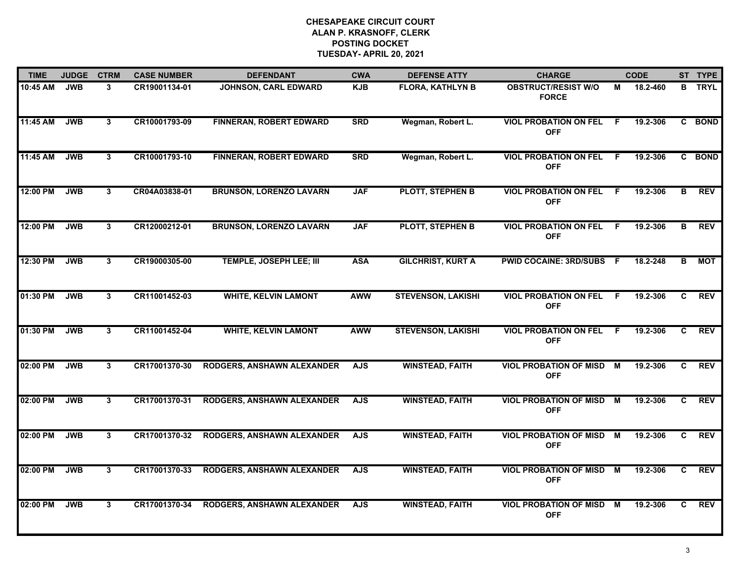| <b>TIME</b> | <b>JUDGE</b> | <b>CTRM</b>    | <b>CASE NUMBER</b> | <b>DEFENDANT</b>                  | <b>CWA</b> | <b>DEFENSE ATTY</b>       | <b>CHARGE</b>                               |                | <b>CODE</b> |                | ST TYPE       |
|-------------|--------------|----------------|--------------------|-----------------------------------|------------|---------------------------|---------------------------------------------|----------------|-------------|----------------|---------------|
| 10:45 AM    | <b>JWB</b>   | 3              | CR19001134-01      | JOHNSON, CARL EDWARD              | <b>KJB</b> | <b>FLORA, KATHLYN B</b>   | <b>OBSTRUCT/RESIST W/O</b><br><b>FORCE</b>  | М              | 18.2-460    |                | <b>B</b> TRYL |
| 11:45 AM    | <b>JWB</b>   | $\mathbf{3}$   | CR10001793-09      | <b>FINNERAN, ROBERT EDWARD</b>    | <b>SRD</b> | Wegman, Robert L.         | <b>VIOL PROBATION ON FEL</b><br><b>OFF</b>  | -F             | 19.2-306    | $\mathbf{c}$   | <b>BOND</b>   |
| 11:45 AM    | <b>JWB</b>   | 3              | CR10001793-10      | <b>FINNERAN, ROBERT EDWARD</b>    | <b>SRD</b> | Wegman, Robert L.         | <b>VIOL PROBATION ON FEL</b><br><b>OFF</b>  | - F            | 19.2-306    |                | C BOND        |
| 12:00 PM    | <b>JWB</b>   | 3              | CR04A03838-01      | <b>BRUNSON, LORENZO LAVARN</b>    | <b>JAF</b> | <b>PLOTT, STEPHEN B</b>   | <b>VIOL PROBATION ON FEL</b><br><b>OFF</b>  | - F            | 19.2-306    | в              | <b>REV</b>    |
| 12:00 PM    | <b>JWB</b>   | 3              | CR12000212-01      | <b>BRUNSON, LORENZO LAVARN</b>    | <b>JAF</b> | <b>PLOTT, STEPHEN B</b>   | <b>VIOL PROBATION ON FEL</b><br><b>OFF</b>  | F.             | 19.2-306    | в              | <b>REV</b>    |
| 12:30 PM    | <b>JWB</b>   | 3              | CR19000305-00      | TEMPLE, JOSEPH LEE; III           | <b>ASA</b> | <b>GILCHRIST, KURT A</b>  | <b>PWID COCAINE: 3RD/SUBS F</b>             |                | 18.2-248    | B              | <b>MOT</b>    |
| 01:30 PM    | <b>JWB</b>   | $\overline{3}$ | CR11001452-03      | <b>WHITE, KELVIN LAMONT</b>       | <b>AWW</b> | <b>STEVENSON, LAKISHI</b> | <b>VIOL PROBATION ON FEL</b><br><b>OFF</b>  | $\overline{F}$ | 19.2-306    | $\overline{c}$ | <b>REV</b>    |
| 01:30 PM    | <b>JWB</b>   | 3              | CR11001452-04      | <b>WHITE, KELVIN LAMONT</b>       | <b>AWW</b> | <b>STEVENSON, LAKISHI</b> | <b>VIOL PROBATION ON FEL</b><br><b>OFF</b>  | -F             | 19.2-306    | C.             | <b>REV</b>    |
| 02:00 PM    | <b>JWB</b>   | 3              | CR17001370-30      | RODGERS, ANSHAWN ALEXANDER        | <b>AJS</b> | <b>WINSTEAD, FAITH</b>    | <b>VIOL PROBATION OF MISD</b><br><b>OFF</b> | M              | 19.2-306    | C              | <b>REV</b>    |
| 02:00 PM    | <b>JWB</b>   | $\mathbf{3}$   | CR17001370-31      | RODGERS, ANSHAWN ALEXANDER        | <b>AJS</b> | <b>WINSTEAD, FAITH</b>    | <b>VIOL PROBATION OF MISD</b><br><b>OFF</b> | M              | 19.2-306    | C              | <b>REV</b>    |
| 02:00 PM    | <b>JWB</b>   | $\mathbf{3}$   | CR17001370-32      | <b>RODGERS, ANSHAWN ALEXANDER</b> | <b>AJS</b> | <b>WINSTEAD, FAITH</b>    | <b>VIOL PROBATION OF MISD</b><br><b>OFF</b> | M              | 19.2-306    | C              | <b>REV</b>    |
| 02:00 PM    | <b>JWB</b>   | 3              | CR17001370-33      | RODGERS, ANSHAWN ALEXANDER        | <b>AJS</b> | <b>WINSTEAD, FAITH</b>    | <b>VIOL PROBATION OF MISD</b><br><b>OFF</b> | M              | 19.2-306    | C              | <b>REV</b>    |
| 02:00 PM    | <b>JWB</b>   | 3              | CR17001370-34      | <b>RODGERS, ANSHAWN ALEXANDER</b> | <b>AJS</b> | <b>WINSTEAD, FAITH</b>    | <b>VIOL PROBATION OF MISD</b><br><b>OFF</b> | M              | 19.2-306    | C.             | <b>REV</b>    |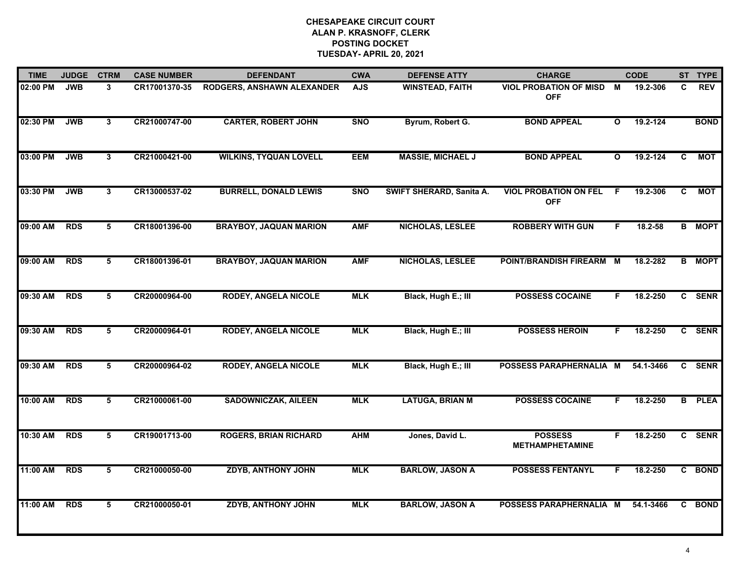| <b>TIME</b> | <b>JUDGE</b> | <b>CTRM</b>             | <b>CASE NUMBER</b> | <b>DEFENDANT</b>              | <b>CWA</b> | <b>DEFENSE ATTY</b>      | <b>CHARGE</b>                                 |              | <b>CODE</b> |                | ST TYPE       |
|-------------|--------------|-------------------------|--------------------|-------------------------------|------------|--------------------------|-----------------------------------------------|--------------|-------------|----------------|---------------|
| 02:00 PM    | <b>JWB</b>   | 3                       | CR17001370-35      | RODGERS, ANSHAWN ALEXANDER    | <b>AJS</b> | <b>WINSTEAD, FAITH</b>   | <b>VIOL PROBATION OF MISD M</b><br><b>OFF</b> |              | 19.2-306    | C              | <b>REV</b>    |
| 02:30 PM    | <b>JWB</b>   | $\overline{3}$          | CR21000747-00      | <b>CARTER, ROBERT JOHN</b>    | <b>SNO</b> | Byrum, Robert G.         | <b>BOND APPEAL</b>                            | $\mathbf{o}$ | 19.2-124    |                | <b>BOND</b>   |
| 03:00 PM    | <b>JWB</b>   | $\overline{3}$          | CR21000421-00      | <b>WILKINS, TYQUAN LOVELL</b> | <b>EEM</b> | <b>MASSIE, MICHAEL J</b> | <b>BOND APPEAL</b>                            | $\mathbf{o}$ | 19.2-124    | $\overline{c}$ | <b>MOT</b>    |
| 03:30 PM    | <b>JWB</b>   | 3                       | CR13000537-02      | <b>BURRELL, DONALD LEWIS</b>  | <b>SNO</b> | SWIFT SHERARD, Sanita A. | <b>VIOL PROBATION ON FEL</b><br><b>OFF</b>    | E            | 19.2-306    | C              | <b>MOT</b>    |
| 09:00 AM    | <b>RDS</b>   | 5                       | CR18001396-00      | <b>BRAYBOY, JAQUAN MARION</b> | <b>AMF</b> | NICHOLAS, LESLEE         | <b>ROBBERY WITH GUN</b>                       | F.           | $18.2 - 58$ |                | <b>B</b> MOPT |
| 09:00 AM    | <b>RDS</b>   | 5                       | CR18001396-01      | <b>BRAYBOY, JAQUAN MARION</b> | <b>AMF</b> | <b>NICHOLAS, LESLEE</b>  | POINT/BRANDISH FIREARM M                      |              | 18.2-282    |                | <b>B</b> MOPT |
| 09:30 AM    | <b>RDS</b>   | 5                       | CR20000964-00      | <b>RODEY, ANGELA NICOLE</b>   | <b>MLK</b> | Black, Hugh E.; III      | <b>POSSESS COCAINE</b>                        | F.           | 18.2-250    | $\mathbf{c}$   | <b>SENR</b>   |
| 09:30 AM    | <b>RDS</b>   | 5                       | CR20000964-01      | <b>RODEY, ANGELA NICOLE</b>   | <b>MLK</b> | Black, Hugh E.; III      | <b>POSSESS HEROIN</b>                         | F            | 18.2-250    |                | C SENR        |
| 09:30 AM    | <b>RDS</b>   | 5                       | CR20000964-02      | <b>RODEY, ANGELA NICOLE</b>   | <b>MLK</b> | Black, Hugh E.; III      | POSSESS PARAPHERNALIA M                       |              | 54.1-3466   |                | C SENR        |
| 10:00 AM    | <b>RDS</b>   | 5                       | CR21000061-00      | <b>SADOWNICZAK, AILEEN</b>    | <b>MLK</b> | <b>LATUGA, BRIAN M</b>   | <b>POSSESS COCAINE</b>                        | F.           | 18.2-250    |                | <b>B</b> PLEA |
| 10:30 AM    | <b>RDS</b>   | 5                       | CR19001713-00      | <b>ROGERS, BRIAN RICHARD</b>  | <b>AHM</b> | Jones, David L.          | <b>POSSESS</b><br><b>METHAMPHETAMINE</b>      | F.           | 18.2-250    |                | C SENR        |
| 11:00 AM    | <b>RDS</b>   | $\overline{\mathbf{5}}$ | CR21000050-00      | <b>ZDYB, ANTHONY JOHN</b>     | <b>MLK</b> | <b>BARLOW, JASON A</b>   | <b>POSSESS FENTANYL</b>                       | F.           | 18.2-250    |                | C BOND        |
| 11:00 AM    | <b>RDS</b>   | 5                       | CR21000050-01      | <b>ZDYB, ANTHONY JOHN</b>     | <b>MLK</b> | <b>BARLOW, JASON A</b>   | POSSESS PARAPHERNALIA M                       |              | 54.1-3466   |                | C BOND        |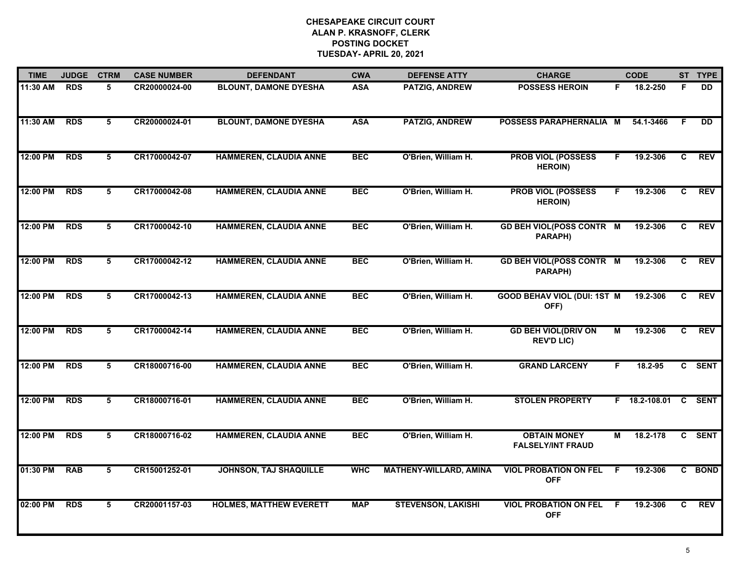| <b>TIME</b> | <b>JUDGE</b> | <b>CTRM</b>     | <b>CASE NUMBER</b> | <b>DEFENDANT</b>               | <b>CWA</b> | <b>DEFENSE ATTY</b>           | <b>CHARGE</b>                                   |    | <b>CODE</b>   |                | ST TYPE    |
|-------------|--------------|-----------------|--------------------|--------------------------------|------------|-------------------------------|-------------------------------------------------|----|---------------|----------------|------------|
| 11:30 AM    | <b>RDS</b>   | 5               | CR20000024-00      | <b>BLOUNT, DAMONE DYESHA</b>   | <b>ASA</b> | PATZIG, ANDREW                | <b>POSSESS HEROIN</b>                           | F. | 18.2-250      | F.             | <b>DD</b>  |
| 11:30 AM    | <b>RDS</b>   | 5               | CR20000024-01      | <b>BLOUNT, DAMONE DYESHA</b>   | <b>ASA</b> | <b>PATZIG, ANDREW</b>         | POSSESS PARAPHERNALIA M                         |    | 54.1-3466     | F.             | <b>DD</b>  |
| 12:00 PM    | <b>RDS</b>   | 5               | CR17000042-07      | <b>HAMMEREN, CLAUDIA ANNE</b>  | <b>BEC</b> | O'Brien, William H.           | <b>PROB VIOL (POSSESS</b><br><b>HEROIN)</b>     | F. | 19.2-306      | C              | <b>REV</b> |
| 12:00 PM    | <b>RDS</b>   | 5               | CR17000042-08      | <b>HAMMEREN, CLAUDIA ANNE</b>  | <b>BEC</b> | O'Brien, William H.           | <b>PROB VIOL (POSSESS</b><br><b>HEROIN)</b>     | F. | 19.2-306      | C              | <b>REV</b> |
| 12:00 PM    | <b>RDS</b>   | 5               | CR17000042-10      | <b>HAMMEREN, CLAUDIA ANNE</b>  | <b>BEC</b> | O'Brien, William H.           | <b>GD BEH VIOL(POSS CONTR M</b><br>PARAPH)      |    | 19.2-306      | C              | <b>REV</b> |
| 12:00 PM    | <b>RDS</b>   | 5               | CR17000042-12      | <b>HAMMEREN, CLAUDIA ANNE</b>  | <b>BEC</b> | O'Brien, William H.           | <b>GD BEH VIOL(POSS CONTR M</b><br>PARAPH)      |    | 19.2-306      | C              | <b>REV</b> |
| 12:00 PM    | <b>RDS</b>   | $5\overline{5}$ | CR17000042-13      | <b>HAMMEREN, CLAUDIA ANNE</b>  | <b>BEC</b> | O'Brien, William H.           | <b>GOOD BEHAV VIOL (DUI: 1ST M</b><br>OFF)      |    | 19.2-306      | $\overline{c}$ | <b>REV</b> |
| 12:00 PM    | <b>RDS</b>   | 5               | CR17000042-14      | <b>HAMMEREN, CLAUDIA ANNE</b>  | <b>BEC</b> | O'Brien, William H.           | <b>GD BEH VIOL(DRIV ON</b><br><b>REV'D LIC)</b> | М  | 19.2-306      | C              | REV        |
| 12:00 PM    | <b>RDS</b>   | 5               | CR18000716-00      | <b>HAMMEREN, CLAUDIA ANNE</b>  | <b>BEC</b> | O'Brien, William H.           | <b>GRAND LARCENY</b>                            | F  | 18.2-95       |                | C SENT     |
| 12:00 PM    | <b>RDS</b>   | 5               | CR18000716-01      | <b>HAMMEREN, CLAUDIA ANNE</b>  | <b>BEC</b> | O'Brien, William H.           | <b>STOLEN PROPERTY</b>                          |    | F 18.2-108.01 |                | C SENT     |
| 12:00 PM    | <b>RDS</b>   | 5               | CR18000716-02      | <b>HAMMEREN, CLAUDIA ANNE</b>  | <b>BEC</b> | O'Brien, William H.           | <b>OBTAIN MONEY</b><br><b>FALSELY/INT FRAUD</b> | М  | 18.2-178      |                | C SENT     |
| 01:30 PM    | <b>RAB</b>   | 5               | CR15001252-01      | <b>JOHNSON, TAJ SHAQUILLE</b>  | <b>WHC</b> | <b>MATHENY-WILLARD, AMINA</b> | <b>VIOL PROBATION ON FEL</b><br><b>OFF</b>      | F. | 19.2-306      |                | C BOND     |
| 02:00 PM    | <b>RDS</b>   | 5               | CR20001157-03      | <b>HOLMES, MATTHEW EVERETT</b> | <b>MAP</b> | <b>STEVENSON, LAKISHI</b>     | <b>VIOL PROBATION ON FEL</b><br><b>OFF</b>      | F  | 19.2-306      | C              | <b>REV</b> |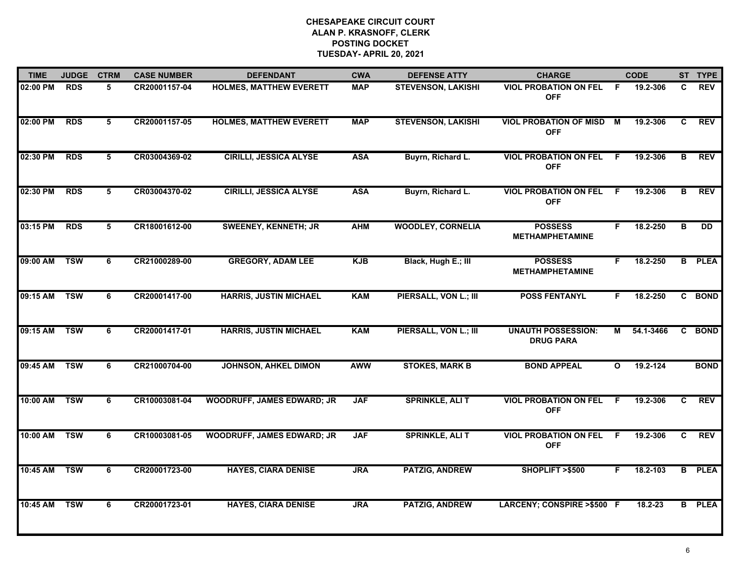| <b>TIME</b> | <b>JUDGE</b> | <b>CTRM</b> | <b>CASE NUMBER</b> | <b>DEFENDANT</b>                  | <b>CWA</b> | <b>DEFENSE ATTY</b>       | <b>CHARGE</b>                                 |              | <b>CODE</b> |    | ST TYPE       |
|-------------|--------------|-------------|--------------------|-----------------------------------|------------|---------------------------|-----------------------------------------------|--------------|-------------|----|---------------|
| 02:00 PM    | <b>RDS</b>   | 5.          | CR20001157-04      | <b>HOLMES, MATTHEW EVERETT</b>    | <b>MAP</b> | <b>STEVENSON, LAKISHI</b> | <b>VIOL PROBATION ON FEL</b><br><b>OFF</b>    | -F           | 19.2-306    | C. | <b>REV</b>    |
| 02:00 PM    | <b>RDS</b>   | 5           | CR20001157-05      | <b>HOLMES, MATTHEW EVERETT</b>    | <b>MAP</b> | <b>STEVENSON, LAKISHI</b> | <b>VIOL PROBATION OF MISD</b><br><b>OFF</b>   | <b>M</b>     | 19.2-306    | C  | <b>REV</b>    |
| 02:30 PM    | <b>RDS</b>   | 5           | CR03004369-02      | <b>CIRILLI, JESSICA ALYSE</b>     | <b>ASA</b> | Buyrn, Richard L.         | <b>VIOL PROBATION ON FEL</b><br><b>OFF</b>    | -F           | 19.2-306    | в  | <b>REV</b>    |
| 02:30 PM    | <b>RDS</b>   | 5           | CR03004370-02      | <b>CIRILLI, JESSICA ALYSE</b>     | <b>ASA</b> | Buyrn, Richard L.         | <b>VIOL PROBATION ON FEL</b><br><b>OFF</b>    | -F           | 19.2-306    | в  | <b>REV</b>    |
| 03:15 PM    | <b>RDS</b>   | 5           | CR18001612-00      | <b>SWEENEY, KENNETH; JR</b>       | <b>AHM</b> | <b>WOODLEY, CORNELIA</b>  | <b>POSSESS</b><br><b>METHAMPHETAMINE</b>      | F.           | 18.2-250    | B  | <b>DD</b>     |
| 09:00 AM    | <b>TSW</b>   | 6           | CR21000289-00      | <b>GREGORY, ADAM LEE</b>          | <b>KJB</b> | Black, Hugh E.; III       | <b>POSSESS</b><br><b>METHAMPHETAMINE</b>      | F.           | 18.2-250    |    | <b>B</b> PLEA |
| 09:15 AM    | <b>TSW</b>   | 6           | CR20001417-00      | <b>HARRIS, JUSTIN MICHAEL</b>     | <b>KAM</b> | PIERSALL, VON L.; III     | <b>POSS FENTANYL</b>                          | F.           | 18.2-250    |    | C BOND        |
| 09:15 AM    | <b>TSW</b>   | 6           | CR20001417-01      | <b>HARRIS, JUSTIN MICHAEL</b>     | <b>KAM</b> | PIERSALL, VON L.; III     | <b>UNAUTH POSSESSION:</b><br><b>DRUG PARA</b> | М            | 54.1-3466   |    | C BOND        |
| 09:45 AM    | <b>TSW</b>   | 6           | CR21000704-00      | <b>JOHNSON, AHKEL DIMON</b>       | <b>AWW</b> | <b>STOKES, MARK B</b>     | <b>BOND APPEAL</b>                            | $\mathbf{o}$ | 19.2-124    |    | <b>BOND</b>   |
| 10:00 AM    | <b>TSW</b>   | 6           | CR10003081-04      | <b>WOODRUFF, JAMES EDWARD; JR</b> | <b>JAF</b> | <b>SPRINKLE, ALI T</b>    | <b>VIOL PROBATION ON FEL</b><br><b>OFF</b>    | -F           | 19.2-306    | C  | <b>REV</b>    |
| 10:00 AM    | <b>TSW</b>   | 6           | CR10003081-05      | <b>WOODRUFF, JAMES EDWARD; JR</b> | <b>JAF</b> | <b>SPRINKLE, ALI T</b>    | <b>VIOL PROBATION ON FEL</b><br><b>OFF</b>    | F.           | 19.2-306    | C. | <b>REV</b>    |
| 10:45 AM    | <b>TSW</b>   | 6           | CR20001723-00      | <b>HAYES, CIARA DENISE</b>        | <b>JRA</b> | <b>PATZIG, ANDREW</b>     | SHOPLIFT >\$500                               | F.           | 18.2-103    |    | <b>B</b> PLEA |
| 10:45 AM    | <b>TSW</b>   | 6           | CR20001723-01      | <b>HAYES, CIARA DENISE</b>        | <b>JRA</b> | <b>PATZIG, ANDREW</b>     | LARCENY; CONSPIRE >\$500 F                    |              | 18.2-23     |    | <b>B</b> PLEA |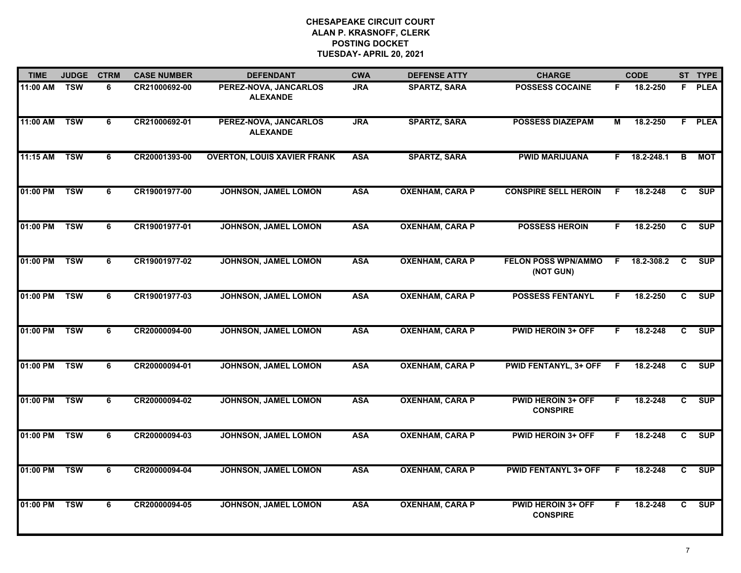| <b>TIME</b> | <b>JUDGE</b> | <b>CTRM</b>    | <b>CASE NUMBER</b> | <b>DEFENDANT</b>                         | <b>CWA</b> | <b>DEFENSE ATTY</b>    | <b>CHARGE</b>                                |    | <b>CODE</b> |                         | ST TYPE    |
|-------------|--------------|----------------|--------------------|------------------------------------------|------------|------------------------|----------------------------------------------|----|-------------|-------------------------|------------|
| 11:00 AM    | <b>TSW</b>   | 6              | CR21000692-00      | PEREZ-NOVA, JANCARLOS<br><b>ALEXANDE</b> | <b>JRA</b> | <b>SPARTZ, SARA</b>    | <b>POSSESS COCAINE</b>                       | F. | 18.2-250    |                         | F PLEA     |
| 11:00 AM    | <b>TSW</b>   | $\overline{6}$ | CR21000692-01      | PEREZ-NOVA, JANCARLOS<br><b>ALEXANDE</b> | <b>JRA</b> | <b>SPARTZ, SARA</b>    | <b>POSSESS DIAZEPAM</b>                      | М  | 18.2-250    |                         | F PLEA     |
| 11:15 AM    | <b>TSW</b>   | $\overline{6}$ | CR20001393-00      | <b>OVERTON, LOUIS XAVIER FRANK</b>       | <b>ASA</b> | <b>SPARTZ, SARA</b>    | <b>PWID MARIJUANA</b>                        | F. | 18.2-248.1  | $\overline{\mathbf{B}}$ | <b>MOT</b> |
| 01:00 PM    | <b>TSW</b>   | 6              | CR19001977-00      | <b>JOHNSON, JAMEL LOMON</b>              | <b>ASA</b> | <b>OXENHAM, CARA P</b> | <b>CONSPIRE SELL HEROIN</b>                  | F  | 18.2-248    | C                       | <b>SUP</b> |
| 01:00 PM    | <b>TSW</b>   | 6              | CR19001977-01      | <b>JOHNSON, JAMEL LOMON</b>              | <b>ASA</b> | <b>OXENHAM, CARA P</b> | <b>POSSESS HEROIN</b>                        | F. | 18.2-250    | C                       | <b>SUP</b> |
| 01:00 PM    | <b>TSW</b>   | 6              | CR19001977-02      | JOHNSON, JAMEL LOMON                     | <b>ASA</b> | <b>OXENHAM, CARA P</b> | <b>FELON POSS WPN/AMMO</b><br>(NOT GUN)      | F. | 18.2-308.2  | C                       | <b>SUP</b> |
| 01:00 PM    | <b>TSW</b>   | 6              | CR19001977-03      | JOHNSON, JAMEL LOMON                     | <b>ASA</b> | <b>OXENHAM, CARA P</b> | <b>POSSESS FENTANYL</b>                      | F. | 18.2-250    | C.                      | SUP        |
| 01:00 PM    | <b>TSW</b>   | $\overline{6}$ | CR20000094-00      | JOHNSON, JAMEL LOMON                     | <b>ASA</b> | <b>OXENHAM, CARA P</b> | <b>PWID HEROIN 3+ OFF</b>                    | F  | 18.2-248    | $\overline{c}$          | SUP        |
| 01:00 PM    | <b>TSW</b>   | 6              | CR20000094-01      | <b>JOHNSON, JAMEL LOMON</b>              | <b>ASA</b> | <b>OXENHAM, CARA P</b> | <b>PWID FENTANYL, 3+ OFF</b>                 | F  | 18.2-248    | C                       | <b>SUP</b> |
| 01:00 PM    | <b>TSW</b>   | 6              | CR20000094-02      | JOHNSON, JAMEL LOMON                     | <b>ASA</b> | <b>OXENHAM, CARA P</b> | <b>PWID HEROIN 3+ OFF</b><br><b>CONSPIRE</b> | F. | 18.2-248    | C                       | <b>SUP</b> |
| 01:00 PM    | <b>TSW</b>   | 6              | CR20000094-03      | JOHNSON, JAMEL LOMON                     | <b>ASA</b> | <b>OXENHAM, CARA P</b> | <b>PWID HEROIN 3+ OFF</b>                    | F. | 18.2-248    | C                       | <b>SUP</b> |
| 01:00 PM    | <b>TSW</b>   | $\overline{6}$ | CR20000094-04      | JOHNSON, JAMEL LOMON                     | <b>ASA</b> | <b>OXENHAM, CARA P</b> | <b>PWID FENTANYL 3+ OFF</b>                  | F. | 18.2-248    | C.                      | <b>SUP</b> |
| 01:00 PM    | <b>TSW</b>   | 6              | CR20000094-05      | JOHNSON, JAMEL LOMON                     | <b>ASA</b> | <b>OXENHAM, CARA P</b> | <b>PWID HEROIN 3+ OFF</b><br><b>CONSPIRE</b> | F. | 18.2-248    | C.                      | SUP        |